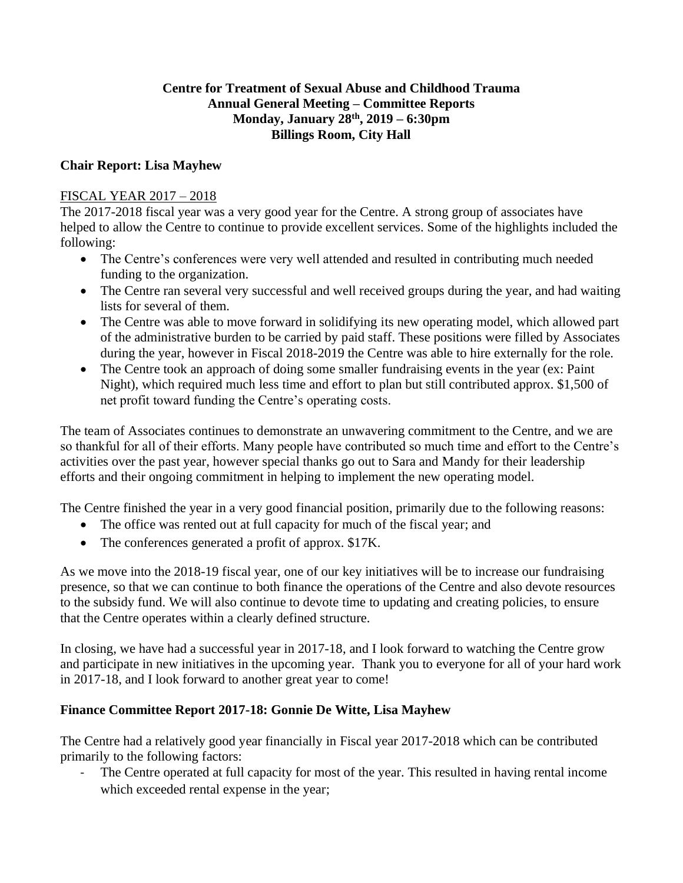## **Centre for Treatment of Sexual Abuse and Childhood Trauma Annual General Meeting – Committee Reports Monday, January 28 th, 2019 – 6:30pm Billings Room, City Hall**

## **Chair Report: Lisa Mayhew**

# FISCAL YEAR 2017 – 2018

The 2017-2018 fiscal year was a very good year for the Centre. A strong group of associates have helped to allow the Centre to continue to provide excellent services. Some of the highlights included the following:

- The Centre's conferences were very well attended and resulted in contributing much needed funding to the organization.
- The Centre ran several very successful and well received groups during the year, and had waiting lists for several of them.
- The Centre was able to move forward in solidifying its new operating model, which allowed part of the administrative burden to be carried by paid staff. These positions were filled by Associates during the year, however in Fiscal 2018-2019 the Centre was able to hire externally for the role.
- The Centre took an approach of doing some smaller fundraising events in the year (ex: Paint) Night), which required much less time and effort to plan but still contributed approx. \$1,500 of net profit toward funding the Centre's operating costs.

The team of Associates continues to demonstrate an unwavering commitment to the Centre, and we are so thankful for all of their efforts. Many people have contributed so much time and effort to the Centre's activities over the past year, however special thanks go out to Sara and Mandy for their leadership efforts and their ongoing commitment in helping to implement the new operating model.

The Centre finished the year in a very good financial position, primarily due to the following reasons:

- The office was rented out at full capacity for much of the fiscal year; and
- The conferences generated a profit of approx. \$17K.

As we move into the 2018-19 fiscal year, one of our key initiatives will be to increase our fundraising presence, so that we can continue to both finance the operations of the Centre and also devote resources to the subsidy fund. We will also continue to devote time to updating and creating policies, to ensure that the Centre operates within a clearly defined structure.

In closing, we have had a successful year in 2017-18, and I look forward to watching the Centre grow and participate in new initiatives in the upcoming year. Thank you to everyone for all of your hard work in 2017-18, and I look forward to another great year to come!

# **Finance Committee Report 2017-18: Gonnie De Witte, Lisa Mayhew**

The Centre had a relatively good year financially in Fiscal year 2017-2018 which can be contributed primarily to the following factors:

The Centre operated at full capacity for most of the year. This resulted in having rental income which exceeded rental expense in the year;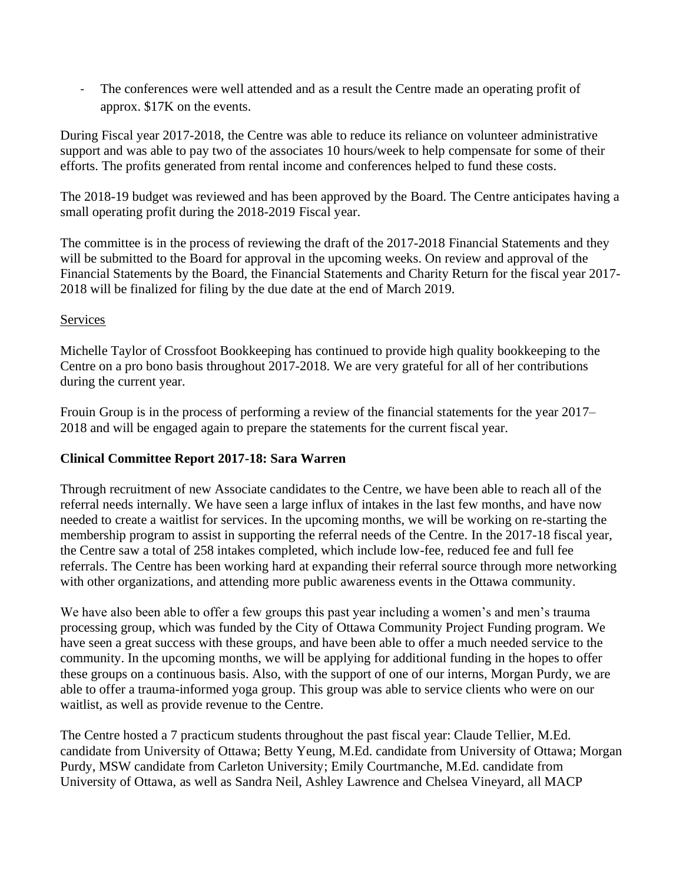- The conferences were well attended and as a result the Centre made an operating profit of approx. \$17K on the events.

During Fiscal year 2017-2018, the Centre was able to reduce its reliance on volunteer administrative support and was able to pay two of the associates 10 hours/week to help compensate for some of their efforts. The profits generated from rental income and conferences helped to fund these costs.

The 2018-19 budget was reviewed and has been approved by the Board. The Centre anticipates having a small operating profit during the 2018-2019 Fiscal year.

The committee is in the process of reviewing the draft of the 2017-2018 Financial Statements and they will be submitted to the Board for approval in the upcoming weeks. On review and approval of the Financial Statements by the Board, the Financial Statements and Charity Return for the fiscal year 2017- 2018 will be finalized for filing by the due date at the end of March 2019.

## Services

Michelle Taylor of Crossfoot Bookkeeping has continued to provide high quality bookkeeping to the Centre on a pro bono basis throughout 2017-2018. We are very grateful for all of her contributions during the current year.

Frouin Group is in the process of performing a review of the financial statements for the year 2017– 2018 and will be engaged again to prepare the statements for the current fiscal year.

## **Clinical Committee Report 2017-18: Sara Warren**

Through recruitment of new Associate candidates to the Centre, we have been able to reach all of the referral needs internally. We have seen a large influx of intakes in the last few months, and have now needed to create a waitlist for services. In the upcoming months, we will be working on re-starting the membership program to assist in supporting the referral needs of the Centre. In the 2017-18 fiscal year, the Centre saw a total of 258 intakes completed, which include low-fee, reduced fee and full fee referrals. The Centre has been working hard at expanding their referral source through more networking with other organizations, and attending more public awareness events in the Ottawa community.

We have also been able to offer a few groups this past year including a women's and men's trauma processing group, which was funded by the City of Ottawa Community Project Funding program. We have seen a great success with these groups, and have been able to offer a much needed service to the community. In the upcoming months, we will be applying for additional funding in the hopes to offer these groups on a continuous basis. Also, with the support of one of our interns, Morgan Purdy, we are able to offer a trauma-informed yoga group. This group was able to service clients who were on our waitlist, as well as provide revenue to the Centre.

The Centre hosted a 7 practicum students throughout the past fiscal year: Claude Tellier, M.Ed. candidate from University of Ottawa; Betty Yeung, M.Ed. candidate from University of Ottawa; Morgan Purdy, MSW candidate from Carleton University; Emily Courtmanche, M.Ed. candidate from University of Ottawa, as well as Sandra Neil, Ashley Lawrence and Chelsea Vineyard, all MACP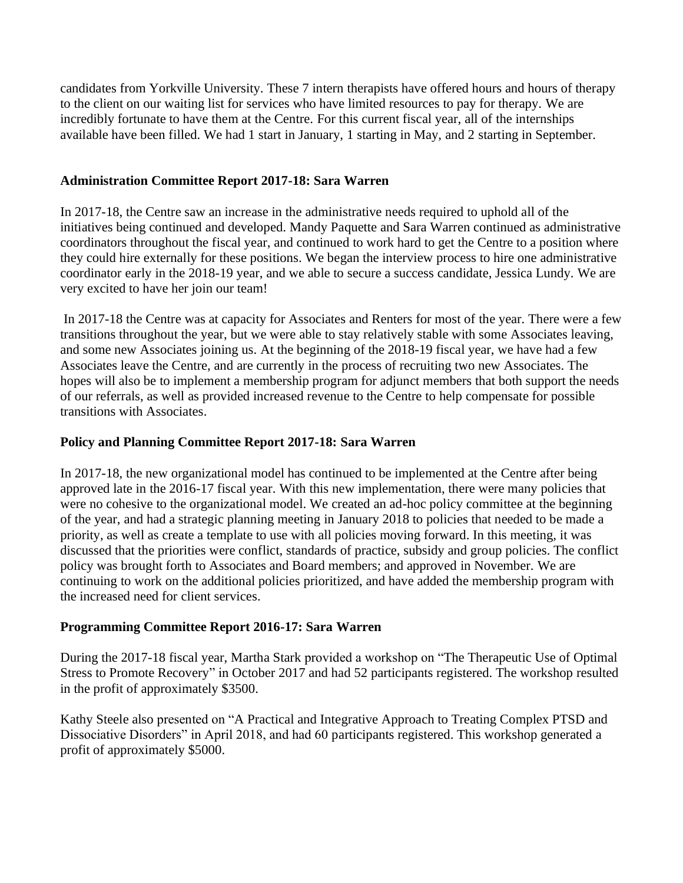candidates from Yorkville University. These 7 intern therapists have offered hours and hours of therapy to the client on our waiting list for services who have limited resources to pay for therapy. We are incredibly fortunate to have them at the Centre. For this current fiscal year, all of the internships available have been filled. We had 1 start in January, 1 starting in May, and 2 starting in September.

### **Administration Committee Report 2017-18: Sara Warren**

In 2017-18, the Centre saw an increase in the administrative needs required to uphold all of the initiatives being continued and developed. Mandy Paquette and Sara Warren continued as administrative coordinators throughout the fiscal year, and continued to work hard to get the Centre to a position where they could hire externally for these positions. We began the interview process to hire one administrative coordinator early in the 2018-19 year, and we able to secure a success candidate, Jessica Lundy. We are very excited to have her join our team!

In 2017-18 the Centre was at capacity for Associates and Renters for most of the year. There were a few transitions throughout the year, but we were able to stay relatively stable with some Associates leaving, and some new Associates joining us. At the beginning of the 2018-19 fiscal year, we have had a few Associates leave the Centre, and are currently in the process of recruiting two new Associates. The hopes will also be to implement a membership program for adjunct members that both support the needs of our referrals, as well as provided increased revenue to the Centre to help compensate for possible transitions with Associates.

### **Policy and Planning Committee Report 2017-18: Sara Warren**

In 2017-18, the new organizational model has continued to be implemented at the Centre after being approved late in the 2016-17 fiscal year. With this new implementation, there were many policies that were no cohesive to the organizational model. We created an ad-hoc policy committee at the beginning of the year, and had a strategic planning meeting in January 2018 to policies that needed to be made a priority, as well as create a template to use with all policies moving forward. In this meeting, it was discussed that the priorities were conflict, standards of practice, subsidy and group policies. The conflict policy was brought forth to Associates and Board members; and approved in November. We are continuing to work on the additional policies prioritized, and have added the membership program with the increased need for client services.

#### **Programming Committee Report 2016-17: Sara Warren**

During the 2017-18 fiscal year, Martha Stark provided a workshop on "The Therapeutic Use of Optimal Stress to Promote Recovery" in October 2017 and had 52 participants registered. The workshop resulted in the profit of approximately \$3500.

Kathy Steele also presented on "A Practical and Integrative Approach to Treating Complex PTSD and Dissociative Disorders" in April 2018, and had 60 participants registered. This workshop generated a profit of approximately \$5000.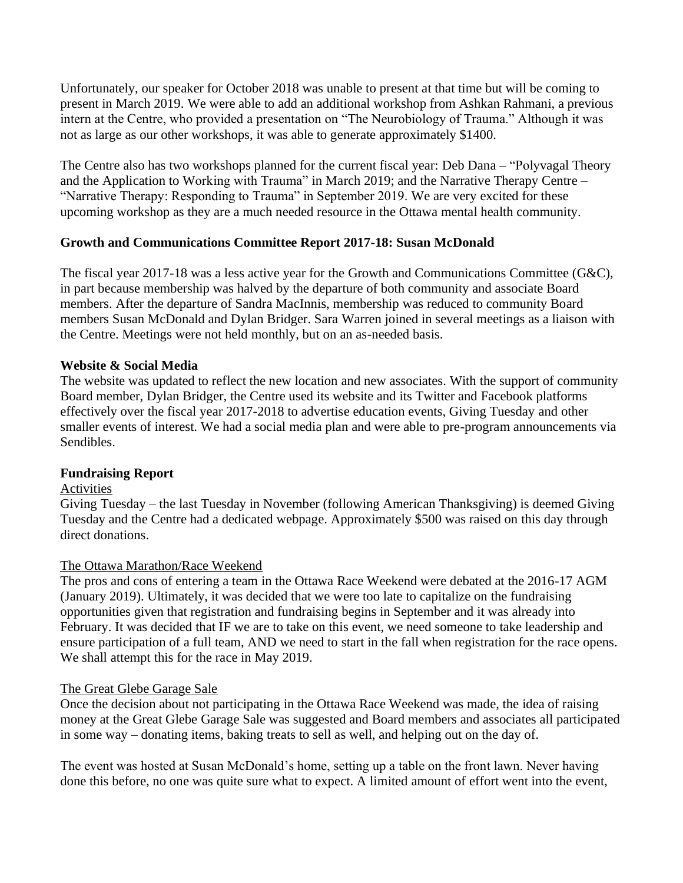Unfortunately, our speaker for October 2018 was unable to present at that time but will be coming to present in March 2019. We were able to add an additional workshop from Ashkan Rahmani, a previous intern at the Centre, who provided a presentation on "The Neurobiology of Trauma." Although it was not as large as our other workshops, it was able to generate approximately \$1400.

The Centre also has two workshops planned for the current fiscal year: Deb Dana – "Polyvagal Theory and the Application to Working with Trauma" in March 2019; and the Narrative Therapy Centre – "Narrative Therapy: Responding to Trauma" in September 2019. We are very excited for these upcoming workshop as they are a much needed resource in the Ottawa mental health community.

## **Growth and Communications Committee Report 2017-18: Susan McDonald**

The fiscal year 2017-18 was a less active year for the Growth and Communications Committee (G&C), in part because membership was halved by the departure of both community and associate Board members. After the departure of Sandra MacInnis, membership was reduced to community Board members Susan McDonald and Dylan Bridger. Sara Warren joined in several meetings as a liaison with the Centre. Meetings were not held monthly, but on an as-needed basis.

#### **Website & Social Media**

The website was updated to reflect the new location and new associates. With the support of community Board member, Dylan Bridger, the Centre used its website and its Twitter and Facebook platforms effectively over the fiscal year 2017-2018 to advertise education events, Giving Tuesday and other smaller events of interest. We had a social media plan and were able to pre-program announcements via Sendibles.

#### **Fundraising Report**

#### Activities

Giving Tuesday – the last Tuesday in November (following American Thanksgiving) is deemed Giving Tuesday and the Centre had a dedicated webpage. Approximately \$500 was raised on this day through direct donations.

#### The Ottawa Marathon/Race Weekend

The pros and cons of entering a team in the Ottawa Race Weekend were debated at the 2016-17 AGM (January 2019). Ultimately, it was decided that we were too late to capitalize on the fundraising opportunities given that registration and fundraising begins in September and it was already into February. It was decided that IF we are to take on this event, we need someone to take leadership and ensure participation of a full team, AND we need to start in the fall when registration for the race opens. We shall attempt this for the race in May 2019.

#### The Great Glebe Garage Sale

Once the decision about not participating in the Ottawa Race Weekend was made, the idea of raising money at the Great Glebe Garage Sale was suggested and Board members and associates all participated in some way – donating items, baking treats to sell as well, and helping out on the day of.

The event was hosted at Susan McDonald's home, setting up a table on the front lawn. Never having done this before, no one was quite sure what to expect. A limited amount of effort went into the event,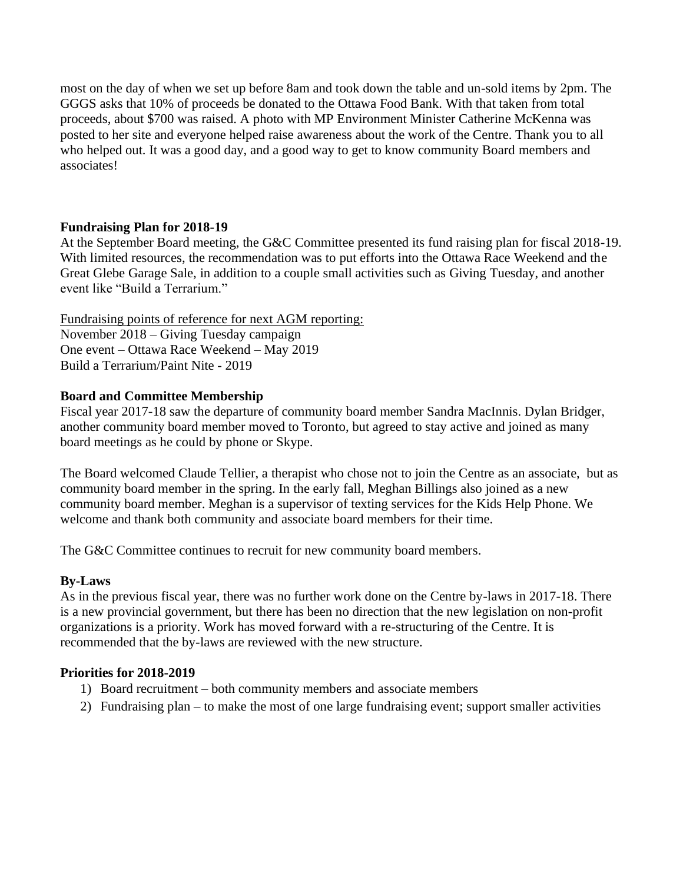most on the day of when we set up before 8am and took down the table and un-sold items by 2pm. The GGGS asks that 10% of proceeds be donated to the Ottawa Food Bank. With that taken from total proceeds, about \$700 was raised. A photo with MP Environment Minister Catherine McKenna was posted to her site and everyone helped raise awareness about the work of the Centre. Thank you to all who helped out. It was a good day, and a good way to get to know community Board members and associates!

### **Fundraising Plan for 2018-19**

At the September Board meeting, the G&C Committee presented its fund raising plan for fiscal 2018-19. With limited resources, the recommendation was to put efforts into the Ottawa Race Weekend and the Great Glebe Garage Sale, in addition to a couple small activities such as Giving Tuesday, and another event like "Build a Terrarium."

Fundraising points of reference for next AGM reporting: November 2018 – Giving Tuesday campaign One event – Ottawa Race Weekend – May 2019 Build a Terrarium/Paint Nite - 2019

### **Board and Committee Membership**

Fiscal year 2017-18 saw the departure of community board member Sandra MacInnis. Dylan Bridger, another community board member moved to Toronto, but agreed to stay active and joined as many board meetings as he could by phone or Skype.

The Board welcomed Claude Tellier, a therapist who chose not to join the Centre as an associate, but as community board member in the spring. In the early fall, Meghan Billings also joined as a new community board member. Meghan is a supervisor of texting services for the Kids Help Phone. We welcome and thank both community and associate board members for their time.

The G&C Committee continues to recruit for new community board members.

## **By-Laws**

As in the previous fiscal year, there was no further work done on the Centre by-laws in 2017-18. There is a new provincial government, but there has been no direction that the new legislation on non-profit organizations is a priority. Work has moved forward with a re-structuring of the Centre. It is recommended that the by-laws are reviewed with the new structure.

#### **Priorities for 2018-2019**

- 1) Board recruitment both community members and associate members
- 2) Fundraising plan to make the most of one large fundraising event; support smaller activities